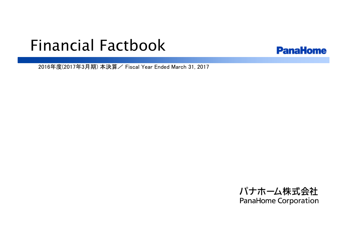# Financial Factbook



2016年度(2017年3月期) 本決算/ Fiscal Year Ended March 31, 2017

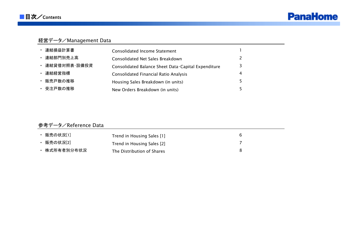

# 経営データ/Management Data

| ・ 連結損益計算書      | Consolidated Income Statement                       |   |
|----------------|-----------------------------------------------------|---|
| 連結部門別売上高       | Consolidated Net Sales Breakdown                    |   |
| · 連結貸借対照表·設備投資 | Consolidated Balance Sheet Data Capital Expenditure |   |
| 連結経営指標         | <b>Consolidated Financial Ratio Analysis</b>        | 4 |
| ・ 販売戸数の推移      | Housing Sales Breakdown (in units)                  |   |
| ・ 受注戸数の推移      | New Orders Breakdown (in units)                     |   |

# 参考データ/Reference Data

| 販売の状況[1]     | Trend in Housing Sales [1] |  |
|--------------|----------------------------|--|
| 販売の状況[2]     | Trend in Housing Sales [2] |  |
| ・ 株式所有者別分布状況 | The Distribution of Shares |  |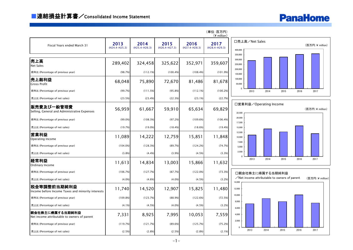

|                                                                  |                         |                         |                         |                         | (単位:百万円)<br>$(*)$ million) |                                          |                |                                             |      |      |                 |
|------------------------------------------------------------------|-------------------------|-------------------------|-------------------------|-------------------------|----------------------------|------------------------------------------|----------------|---------------------------------------------|------|------|-----------------|
| Fiscal Years ended March 31                                      | 2013<br>$(H24.4-H25.3)$ | 2014<br>$(H25.4-H26.3)$ | 2015<br>$(H26.4-H27.3)$ | 2016<br>$(H27.4-H28.3)$ | 2017<br>$(H28.4-H29.3)$    | 400.000                                  | 口売上高/Net Sales |                                             |      |      | (百万円:¥ million) |
| 売上高<br><b>Net Sales</b>                                          | 289,402                 | 324,458                 | 325,622                 | 352,971                 | 359,607                    | 350,000<br>300,000<br>250,000<br>200,000 |                |                                             |      |      |                 |
| 前年比 (Percentage of previous year)                                | (98.7%)                 | (112.1%)                | (100.4%)                | (108.4%)                | (101.9%)                   | 150,000                                  |                |                                             |      |      |                 |
| 売上総利益<br><b>Gross Profit</b>                                     | 68,048                  | 75,890                  | 72,670                  | 81,486                  | 81,678                     | 100,000<br>50,000                        |                |                                             |      |      |                 |
| 前年比 (Percentage of previous year)                                | (99.7%)                 | (111.5%)                | (95.8%)                 | (112.1%)                | (100.2%)                   |                                          | 2013           | 2014                                        | 2015 | 2016 | 2017            |
| 売上比 (Percentage of net sales)                                    | (23.5%)                 | (23.4%)                 | (22.3%)                 | (23.1%)                 | (22.7%)                    |                                          |                |                                             |      |      |                 |
| 販売費及び一般管理費<br>Selling, General and Administrative Expenses       | 56,959                  | 61,667                  | 59,910                  | 65,634                  | 69,829                     | 22,500                                   |                | 口営業利益/Operating Income                      |      |      | (百万円:¥ million) |
| 前年比 (Percentage of previous year)                                | $(99.0\%)$              | (108.3%)                | (97.2%)                 | (109.6%)                | (106.4%)                   | 20,000<br>17,500                         |                |                                             |      |      |                 |
| 売上比 (Percentage of net sales)                                    | (19.7%)                 | (19.0%)                 | (18.4%)                 | (18.6%)                 | (19.4%                     | 15,000                                   |                |                                             |      |      |                 |
| 営業利益<br>Operating Income                                         | 11,089                  | 14,222                  | 12,759                  | 15,851                  | 11,848                     | 12,500<br>10,000<br>7,500                |                |                                             |      |      |                 |
| 前年比 (Percentage of previous year)                                | (104.0%)                | (128.3%)                | (89.7%)                 | (124.2%)                | (74.7%)                    | 5,000                                    |                |                                             |      |      |                 |
| 売上比 (Percentage of net sales)                                    | (3.8%)                  | (4.4%)                  | (3.9%)                  | (4.5%)                  | (3.3%)                     | 2,500<br>$\Omega$                        |                |                                             |      |      |                 |
| 経常利益<br>Ordinary Income                                          | 11,613                  | 14,834                  | 13,003                  | 15,866                  | 11,632                     |                                          | 2013           | 2014                                        | 2015 | 2016 | 2017            |
| 前年比 (Percentage of previous year)                                | (106.7%)                | (127.7%)                | (87.7%)                 | (122.0%)                | (73.3%)                    |                                          |                | 口親会社株主に帰属する当期純利益                            |      |      |                 |
| 売上比 (Percentage of net sales)                                    | (4.0%                   | (4.6%)                  | (4.0%                   | (4.5%)                  | (3.2%)                     | 14.000                                   |                | Net income attributable to owners of parent |      |      | (百万円:¥ million) |
| 税金等調整前当期純利益<br>Income before Income Taxes and minority interests | 11,740                  | 14,520                  | 12,907                  | 15,825                  | 11,480                     | 12,000                                   |                |                                             |      |      |                 |
| 前年比 (Percentage of previous year)                                | (109.8%)                | (123.7%)                | (88.9%)                 | (122.6%)                | (72.5%)                    | 10,000<br>8,000                          |                |                                             |      |      |                 |
| 売上比 (Percentage of net sales)                                    | (4.1%)                  | (4.5%)                  | (4.0%                   | (4.5%)                  | (3.2%)                     | 6,000                                    |                |                                             |      |      |                 |
| 親会社株主に帰属する当期純利益<br>Net income attributable to owners of parent   | 7,331                   | 8,925                   | 7,995                   | 10,053                  | 7,559                      | 4,000                                    |                |                                             |      |      |                 |
| 前年比 (Percentage of previous year)                                | (119.7%)                | (121.7%)                | (89.6%)                 | (125.7%)                | (75.2%)                    | 2,000<br>$\Omega$                        |                |                                             |      |      |                 |
| 売上比 (Percentage of net sales)                                    | (2.5%)                  | (2.8%)                  | (2.5%)                  | (2.8%)                  | (2.1%)                     |                                          | 2013           | 2014                                        | 2015 | 2016 | 2017            |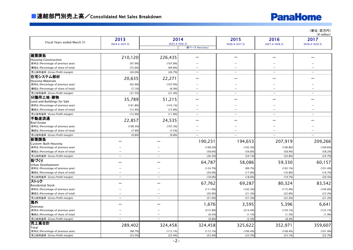# **PanaHome**

(単位:百万円)

|                                                                         |                          |                          |                          |                          |                          | $(*$ million)            |
|-------------------------------------------------------------------------|--------------------------|--------------------------|--------------------------|--------------------------|--------------------------|--------------------------|
|                                                                         | 2013                     | 2014                     |                          | 2015                     | 2016                     | 2017                     |
| Fiscal Years ended March 31                                             | $(H24.4-H25.3)$          | $(H25.4-H26.3)$          |                          | $(H26.4-H27.3)$          | $(H27.4-H28.3)$          | (H28.4-H29.3)            |
|                                                                         |                          |                          | (新ベース New basis)         |                          |                          |                          |
|                                                                         |                          |                          |                          |                          |                          |                          |
| 建築請負                                                                    | 210,120                  | 226,435                  |                          |                          |                          |                          |
| <b>Housing Construction</b>                                             |                          |                          |                          |                          |                          |                          |
| 前年比 (Percentage of previous year)                                       | (97.9%                   | (107.8%)                 |                          |                          |                          |                          |
| 構成比 (Percentage of share of total)                                      | (72.6%)                  | (69.8%                   |                          |                          |                          |                          |
| 売上総利益率 (Gross Profit margin)                                            | (26.0%                   | (26.7%)                  | $\overline{\phantom{a}}$ | $\overline{\phantom{a}}$ | $\overline{\phantom{a}}$ | $\overline{\phantom{0}}$ |
| 住宅システム部材                                                                | 20,635                   | 22,271                   |                          |                          |                          |                          |
| <b>Housing Materials</b>                                                | (92.9%                   | (107.9%)                 |                          |                          |                          |                          |
| 前年比 (Percentage of previous year)<br>構成比 (Percentage of share of total) | (7.1%                    | (6.9%                    |                          |                          |                          |                          |
|                                                                         | (31.5%                   | (31.4%)                  | $\overline{\phantom{0}}$ |                          |                          |                          |
| 売上総利益率 (Gross Profit margin)<br>分讓用土地·建物                                |                          |                          |                          |                          |                          |                          |
| Land and Buildings for Sale                                             | 35,789                   | 51,215                   |                          |                          |                          |                          |
| 前年比 (Percentage of previous year)                                       | (101.8%)                 | (143.1%)                 |                          |                          |                          |                          |
| 構成比 (Percentage of share of total)                                      | (12.4%                   | (15.8%                   |                          |                          |                          |                          |
| 売上総利益率 (Gross Profit margin)                                            | (12.9%                   | (11.8%                   | $\overline{\phantom{a}}$ | $\overline{\phantom{0}}$ | $\overline{\phantom{0}}$ | $\overline{\phantom{0}}$ |
| 不動産流通                                                                   |                          |                          |                          |                          |                          |                          |
| Real Estate                                                             | 22,857                   | 24,535                   |                          |                          |                          |                          |
| 前年比 (Percentage of previous year)                                       | (108.3%)                 | (107.3%)                 |                          |                          |                          |                          |
| 構成比 (Percentage of share of total)                                      | (7.9%                    | (7.5%)                   |                          |                          |                          |                          |
| 売上総利益率 (Gross Profit margin)                                            | (9.8%                    | (9.8%                    | $\overline{\phantom{m}}$ | $\overline{\phantom{0}}$ | $\overline{\phantom{0}}$ | $\overline{\phantom{0}}$ |
| 新築請負                                                                    |                          |                          |                          |                          |                          |                          |
| <b>Custom-Built Housing</b>                                             |                          |                          | 190,231                  | 194,653                  | 207,919                  | 209,266                  |
| 前年比 (Percentage of previous year)                                       |                          |                          | (108.2%)                 | (102.3%)                 | (106.8%)                 | (100.6%)                 |
| 構成比 (Percentage of share of total)                                      |                          |                          | (58.6%                   | (59.8%                   | (58.9%)                  | (58.2%)                  |
| 売上総利益率 (Gross Profit margin)                                            |                          | $\overline{\phantom{0}}$ | (26.2%                   | (24.1%                   | (24.8%                   | (24.7%)                  |
| 街づくり                                                                    |                          |                          | 64,787                   | 58,086                   | 59,330                   | 60,157                   |
| Urban Development                                                       |                          |                          |                          |                          |                          |                          |
| 前年比 (Percentage of previous year)                                       |                          |                          | (124.7%)                 | (89.7%                   | (102.1%)                 | (101.4%)                 |
| 構成比 (Percentage of share of total)                                      |                          |                          | (20.0%                   | (17.8%                   | (16.8%)                  | (16.7%)                  |
| 売上総利益率 (Gross Profit margin)                                            | $\overline{\phantom{0}}$ | $\overline{\phantom{0}}$ | (18.0%                   | (18.6%                   | (19.7%                   | (20.5%)                  |
| ストック                                                                    |                          |                          | 67,762                   | 69,287                   | 80,324                   | 83,542                   |
| Residential Stock                                                       |                          |                          |                          |                          |                          |                          |
| 前年比 (Percentage of previous year)                                       |                          |                          | (111.0%)                 | (102.3%)                 | (115.9%)                 | (104.0%)                 |
| 構成比 (Percentage of share of total)                                      | $\overline{\phantom{0}}$ | $\overline{\phantom{0}}$ | (20.9%                   | (21.3%                   | (22.8%)                  | (23.2%)                  |
| 売上総利益率 (Gross Profit margin)                                            |                          |                          | (21.0%                   | (21.3%                   | (22.2%)                  | (21.2%)                  |
| 海外                                                                      |                          |                          | 1,676                    | 3,595                    | 5,396                    | 6,641                    |
| Overseas<br>前年比 (Percentage of previous year)                           |                          |                          | (315.8%)                 | (214.4%)                 | (150.1%)                 | (123.1%)                 |
| 構成比 (Percentage of share of total)                                      |                          |                          | (0.5%                    | (1.1%)                   | (1.5%)                   | (1.9%)                   |
| 売上総利益率 (Gross Profit margin)                                            | $\equiv$                 |                          | (9.8%                    | (3.3%)                   | (8.4%)                   |                          |
| 売上高合計                                                                   |                          |                          |                          |                          |                          |                          |
| Total                                                                   | 289,402                  | 324,458                  | 324,458                  | 325,622                  | 352,971                  | 359,607                  |
| 前年比 (Percentage of previous year)                                       | (98.7%                   | (112.1%                  | (112.1%)                 | (100.4%                  | (108.4%)                 | (101.9%)                 |
| 売上総利益率 (Gross Profit margin)                                            | (23.5%                   | (23.4%)                  | (23.4%)                  | (22.3%                   | (23.1%)                  | (22.7%)                  |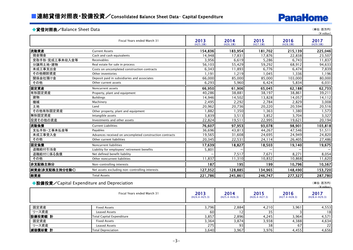# **PanaHome**

### ◆貸借対照表/Balance Sheet Data (単位:百万円)

|                                            |                                                         |                  |                  |                  |                  | $(*)$ million)   |
|--------------------------------------------|---------------------------------------------------------|------------------|------------------|------------------|------------------|------------------|
|                                            | Fiscal Years ended March 31                             | 2013<br>(H25.3末) | 2014<br>(H26.3末) | 2015<br>(H27.3末) | 2016<br>(H28.3末) | 2017<br>(H29.3末) |
| 流動資産                                       | <b>Current Assets</b>                                   | 154,836          | 183,954          | 181,702          | 215,139          | 225,046          |
| 現金預金                                       | Cash and cash equivalents                               | 14,948           | 17,831           | 17,876           | 22,838           | 23,507           |
| 受取手形·完成工事未収入金等                             | Receivables                                             | 3,956            | 6,619            | 5,286            | 6.743            | 11,837           |
| 分譲用土地 建物                                   | Real estate for sale in process                         | 56,103           | 55,429           | 59,292           | 68,912           | 94,633           |
| 未成工事支出金                                    | Costs on uncompleted construction contracts             | 6,343            | 11,893           | 6,776            | 6,474            | 7,839            |
| その他棚卸資産                                    | Other inventories                                       | 1,191            | 1,219            | 1,045            | 1,336            | 1,196            |
| 関係会社預け金                                    | Deposit paid in subsidiaries and associates             | 66,000           | 85,000           | 85,000           | 103,000          | 80,000           |
| その他                                        | Other current assets                                    | 6,293            | 5,960            | 6,424            | 5,834            | 6,031            |
| 固定資産                                       | Noncurrent assets                                       | 66,950           | 61,906           | 65,045           | 62,188           | 62,733           |
| 有形固定資産                                     | Property, plant and equipment                           | 40,286           | 38,881           | 38,197           | 38,861           | 39,211           |
| 建物                                         | <b>Buildings</b>                                        | 14,946           | 14,502           | 13,828           | 14,057           | 14,112           |
| 機械                                         | Machinery                                               | 2,495            | 2,292            | 2,784            | 2,829            | 3,008            |
| 土地                                         | Land                                                    | 20,962           | 20,736           | 20,220           | 20,594           | 20,516           |
| その他有形固定資産                                  | Other property, plant and equipment                     | 1,882            | 1,350            | 1,363            | 1,380            | 1,573            |
| 無形固定資産                                     | Intangible assets                                       | 3,839            | 3,513            | 3,852            | 3,704            | 3,327            |
| 投資その他の資産                                   | Investments and other assets                            | 22,824           | 19,511           | 22,995           | 19,621           | 20,194           |
| 流動負債                                       | <b>Current Liabilities</b>                              | 76,607           | 97.953           | 93,078           | 98,901           | 103,818          |
| 支払手形·工事未払金等                                | Payables                                                | 36,696           | 43,813           | 44,267           | 47,546           | 51,511           |
| 未成工事受入金                                    | Advances received on uncompleted construction contracts | 19,565           | 31,608           | 24,695           | 24,949           | 24,820           |
| その他                                        | Other current liabilities                               | 20,345           | 22,531           | 24,114           | 26,405           | 27,486           |
| 固定負債                                       | Noncurrent liabilities                                  | 17,639           | 18,827           | 18,503           | 19,140           | 19,675           |
| 退職給付引当金                                    | Liability for employees' retirement benefits            | 5,801            |                  |                  |                  |                  |
| 退職給付に係る負債                                  | Net defined benefit liability                           |                  | 7,517            | 7,671            | 8,271            | 8,054            |
| その他                                        | Other noncurrent liabilities                            | 11,837           | 11,310           | 10,832           | 10,868           | 11,620           |
| 非支配株主持分                                    | Non-controlling interests                               | 187              | 195              | 199              | 10,796           | 10,567           |
| 純資産(非支配株主持分を除く)                            | Net assets excluding non-controlling interests          | 127,352          | 128,885          | 134,965          | 148,490          | 153,720          |
| 総資産                                        | <b>Total Assets</b>                                     | 221,786          | 245,861          | 246,747          | 277,327          | 287,780          |
| ◆設備投資/Capital Expenditure and Depreciation |                                                         |                  |                  |                  |                  | (単位:百万円)         |

|         |                                  |                         |                         |                         |                         | $(4$ million)           |
|---------|----------------------------------|-------------------------|-------------------------|-------------------------|-------------------------|-------------------------|
|         | Fiscal Years ended March 31      | 2013<br>$(H24.4-H25.3)$ | 2014<br>$(H25.4-H26.3)$ | 2015<br>$(H26.4-H27.3)$ | 2016<br>$(H27.4-H28.3)$ | 2017<br>$(H28.4-H29.3)$ |
| 固定資産    | <b>Fixed Assets</b>              | 3,796                   | 2,884                   | 4,210                   | 3,961                   | 4,553                   |
| リース資産   | Leased Assets                    | 60                      | 12                      |                         |                         | 18                      |
| 設備投資額 計 | <b>Total Capital Expenditure</b> | 3,857                   | 2,896                   | 4,245                   | 3,964                   | 4,571                   |
| 固定資産    | <b>Fixed Assets</b>              | 3.364                   | 3,874                   | 3,938                   | 4,388                   | 4,634                   |
| リース資産   | Leased Assets                    | 275                     | 93                      | 38                      | 67                      | 22                      |
| 減価償却費 計 | <b>Total Depreciation</b>        | 3,640                   | 3,967                   | 3,976                   | 4,455                   | 4,656                   |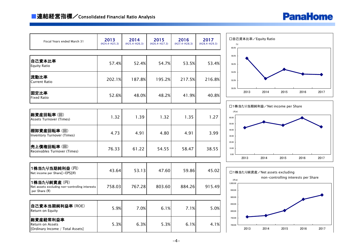

| Fiscal Years ended March 31                                                    | 2013<br>$(H24.4-H25.3)$ | 2014<br>$(H25.4-H26.3)$ | 2015<br>$(H26.4-H27.3)$ | 2016<br>$(H27.4-H28.3)$ | 2017<br>$(H28.4-H29.3)$ | 口自己資本比率/Equity Ratio<br>$\left(\begin{smallmatrix}0'\\0\end{smallmatrix}\right)$<br>60.0% |
|--------------------------------------------------------------------------------|-------------------------|-------------------------|-------------------------|-------------------------|-------------------------|-------------------------------------------------------------------------------------------|
| 自己資本比率<br><b>Equity Ratio</b>                                                  | 57.4%                   | 52.4%                   | 54.7%                   | 53.5%                   | 53.4%                   | 58.0%<br>56.0%                                                                            |
| 流動比率<br><b>Current Ratio</b>                                                   | 202.1%                  | 187.8%                  | 195.2%                  | 217.5%                  | 216.8%                  | 54.0%<br>52.0%                                                                            |
| 固定比率<br><b>Fixed Ratio</b>                                                     | 52.6%                   | 48.0%                   | 48.2%                   | 41.9%                   | 40.8%                   | 50.0%<br>2013<br>2014<br>2015<br>2016<br>2017                                             |
|                                                                                |                         |                         |                         |                         |                         | □1株当たり当期純利益/Net income per Share                                                          |
| 総資産回転率(回)<br><b>Assets Turnover (Times)</b>                                    | 1.32                    | 1.39                    | 1.32                    | 1.35                    | 1.27                    | $(\mathsf{H};\mathsf{Y})$<br>60.00<br>50.00                                               |
| 棚卸資産回転率(回)<br><b>Inventory Turnover (Times)</b>                                | 4.73                    | 4.91                    | 4.80                    | 4.91                    | 3.99                    | 40.00<br>30.00                                                                            |
| 売上債権回転率(回)<br>Receivables Turnover (Times)                                     | 76.33                   | 61.22                   | 54.55                   | 58.47                   | 38.55                   | 20.00<br>10.00<br>0.00                                                                    |
|                                                                                |                         |                         |                         |                         |                         | 2015<br>2013<br>2014<br>2016<br>2017                                                      |
| 1株当たり当期純利益 (円)<br>Net income per Share[=EPS](¥)                                | 43.64                   | 53.13                   | 47.60                   | 59.86                   | 45.02                   | □1株当たり純資産/Net assets excluding<br>non-controlling interests per Share                     |
| 1株当たり純資産(円)<br>Net assets excluding non-controlling interests<br>per Share (¥) | 758.03                  | 767.28                  | 803.60                  | 884.26                  | 915.49                  | $(H;*)$<br>1,000.00<br>950.00                                                             |
|                                                                                |                         |                         |                         |                         |                         | 900.00                                                                                    |
| 自己資本当期純利益率(ROE)<br>Return on Equity                                            | 5.9%                    | 7.0%                    | 6.1%                    | 7.1%                    | 5.0%                    | 850.00<br>800.00                                                                          |
| 総資産経常利益率<br>Return on Assets<br>[Ordinary Income / Total Assets]               | 5.3%                    | 6.3%                    | 5.3%                    | 6.1%                    | 4.1%                    | 750.00<br>700.00<br>2017<br>2013<br>2014<br>2015<br>2016                                  |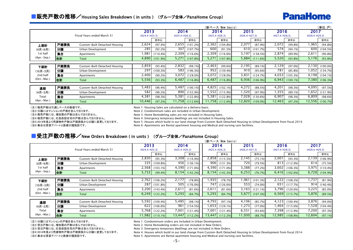### ■販売戸数の推移/Housing Sales Breakdown (in units) (グループ全体/PanaHome Group)

# **PanaHome**

|               |      |                               |                 |          |                 |          |       | (新ベース New basis) |                 |          |                 |            |                 | (単位:戸)   |
|---------------|------|-------------------------------|-----------------|----------|-----------------|----------|-------|------------------|-----------------|----------|-----------------|------------|-----------------|----------|
|               |      |                               | 2013            |          | 2014            |          |       | 2014             | 2015            |          | 2016            |            | 2017            |          |
|               |      | Fiscal Years ended March 31   | $(H24.4-H25.3)$ |          | $(H25.4-H26.3)$ |          |       | $(H25.4-H26.3)$  | $(H26.4-H27.3)$ |          | $(H27.4-H28.3)$ |            | $(H28.4-H29.3)$ |          |
|               |      |                               |                 | 前年比      |                 | 前年比      |       | 前年比              |                 | 前年比      |                 | 前年比        |                 | 前年比      |
| 上期計           | 戸建請負 | Custom-Built Detached Housing | 2,624           | (97.4%)  | 2,655           | (101.2%) | 2,362 | (104.8%)         | 2,077           | (87.9%)  | 2,072           | (99.8%)    | 965, ا          | (94.8%)  |
| (4月-9月)       | 分讓   | Urban Development             | 285             | (92.2%)  | 307             | (107.7%) | 600   | (91.5%)          | 610             | (101.7%) | 574             | (94.1%)    | 600             | (104.5%) |
| 1st half      | 集合   | Apartments                    | .981            | (110.4%) | 2,309           | (116.6%) | 2,309 | (116.6%)         | 3,197           | (138.5%) | 2,874           | (89.9%)    | 2,611           | (90.8%)  |
| (Apr.-Sep.)   | 合計   | Total                         | 4,890           | (101.9%) | 5,271           | (107.8%) | 5,271 | (107.8%)         | 5,884           | (111.6%) | 5,520           | $(93.8\%)$ | 5,176           | (93.8%)  |
|               |      |                               |                 |          |                 |          |       |                  |                 |          |                 |            |                 |          |
| 下期計           | 戸建請負 | Custom-Built Detached Housing | 2,859           | (95.4%)  | 2,832           | (99.1%)  | 2,463 | (99.6%)          | 2,195           | (89.1%)  | 2,129           | (97.0%)    | 2,130           | (100.0%) |
| (10月-3月)      | 分譲   | Urban Development             | 297             | (100.3%) | 583             | (196.3%) | 952   | (139.4%)         | 910             | (95.6%)  | 781             | (85.8%)    | 1,052           | (134.7%) |
| 2nd half      | 集合   | Apartments                    | 2,400           | (90.2%)  | 3,072           | (128.0%) | 3,072 | $(128.0\%)$      | 3,831           | (124.7%) | 4,033           | (105.3%)   | 4,198           | (104.1%) |
| $(Oct.-Mar.)$ | 合計   | Total                         | 5,556           | (93.3%)  | 6,487           | (116.8%) | 6,487 | (116.8%)         | 6,936           | (106.9%) | 6,943           | (100.1%)   | 7,380           | (106.3%) |
|               |      |                               |                 |          |                 |          |       |                  |                 |          |                 |            |                 |          |
| 通期            | 戸建請負 | Custom-Built Detached Housing | 5,483           | (96.4%)  | 5,487           | (100.1%) | 4,825 | (102.1%)         | 4,272           | (88.5%)  | 4,201           | (98.3%)    | 4,095           | (97.5%)  |
| (4月-3月)       | 分讓   | Urban Development             | 582             | (96.2%)  | 890             | (152.9%) | .552  | (115.9%)         | 1,520           | (97.9%)  | ,355            | (89.1%)    | 1,652           | (121.9%) |
| Total         | 集合   | Apartments                    | 4,381           | (98.3%)  | 5,381           | (122.8%) | 5,381 | (122.8%)         | 7,028           | (130.6%) | 6,907           | (98.3%)    | 6,809           | (98.6%)  |
| (Apr.-Mar.)   | 合計   | Total                         | 10,446          | (97.2%)  | 11,758          | (112.6%) | 1,758 | (112.6%)         | 12,820          | (109.0%) | 12,463          | (97.2%)    | 12,556          | (100.7%) |

(注1)販売戸数は引渡しベースの数値です。 Note 1: Housing Sales are calculated on a delivery basis.

(注2)分譲にはマンションの戸数を含んでおります。 Note 2: Condominium sales are included in Urban Development.<br>(注3)販売戸数には、増改築の戸数は含んでおりません。 Note 3: Home Remodeling sales are not included in Housing Sal

Note 3: Home Remodeling sales are not included in Housing Sales.

(注4)販売戸数には、応急仮設住宅の戸数は含んでおりません。 Note 4: Emergency temporary dwellings are not included in Housing Sales.

(注5)2014年度より売建物件戸数は戸建請負から分譲に変更しております。 Note 5: Houses which build in our land change from Custom-Built Detached Housing to Urban Development from fiscal 2014.

(注6)集合は賃貸アパートと医療介護施設です。 Mote 6: Apartments are Rental apartment housing and Medical and nursing care facilities.

### ■受注戸数の推移/New Orders Breakdown (in units) (グループ全体/PanaHome Group)

|               |      |                               |                 |          |                 |          |        | (新ベース New basis) |                 |          |                 |             |                 |          |
|---------------|------|-------------------------------|-----------------|----------|-----------------|----------|--------|------------------|-----------------|----------|-----------------|-------------|-----------------|----------|
|               |      |                               | 2013            |          | 2014            |          |        | 2014             | 2015            |          | 2016            |             | 2017            |          |
|               |      | Fiscal Years ended March 31   | $(H24.4-H25.3)$ |          | $(H25.4-H26.3)$ |          |        | $(H25.4-H26.3)$  | $(H26.4-H27.3)$ |          | $(H27.4-H28.3)$ |             | $(H28.4-H29.3)$ |          |
|               |      |                               |                 | 前年比      |                 | 前年比      |        | 前年比              |                 | 前年比      |                 | 前年比         |                 | 前年比      |
| 上期計           | 戸建請負 | Custom-Built Detached Housing | 2,830           | (95.3%)  | 3,308           | (116.9%) | 2,858  | (115.5%)         | 2,145           | (75.1%)  | 2,001           | (93.3%)     | 2,139           | (106.9%) |
| (4月-9月)       | 分讓   | Urban Development             | 335             | (109.8%) | 456             | (136.1%) | 906    | (131.3%)         | 720             | (79.5%)  | 813             | (112.9%)    | 614             | (75.5%)  |
| 1st half      | 集合   | Apartments                    | 2,568           | (103.1%) | 4,390           | (171.0%) | 4,390  | (171.0%)         | 3,388           | (77.2%)  | 3,602           | (106.3%)    | 3,975           | (110.4%) |
| (Apr.-Sep.)   | 合計   | Total                         | 5,733           | (99.4%)  | 8,154           | (142.2%) |        | $8,154$ (142.2%) | 6,253           | (76.7%)  | 6,416           | (102.6%)    | 6,728           | (104.9%) |
|               |      |                               |                 |          |                 |          |        |                  |                 |          |                 |             |                 |          |
| 下期計           | 戸建請負 | Custom-Built Detached Housing | 2,762           | (106.2%) | 2,177           | (78.8%)  | 1,935  | (78.7%)          | 961, ا          | (101.3%) | 2,122           | (108.2%)    | ,737            | (81.9%)  |
| (10月-3月)      | 分讓   | Urban Development             | 287             | (101.8%) | 505             | (176.0%) | 747    | (126.6%)         | 553             | (74.0%)  | 651             | (117.7%)    | 914             | (140.4%) |
| 2nd half      | 集合   | Apartments                    | 3,200           | (143.4%) | 2,611           | (81.6%)  | 2,611  | (81.6%)          | 3,163           | (121.1%) | 3,796           | $(120.0\%)$ | 3,225           | (85.0%)  |
| $(Oct.-Mar.)$ | 合計   | Total                         | 6,249           | (122.2%) | 5,293           | (84.7%)  | 5,293  | (84.7%)          | 5,677           | (107.3%) | 6,569           | (115.7%)    | 5,876           | (89.5%)  |
|               |      |                               |                 |          |                 |          |        |                  |                 |          |                 |             |                 |          |
| 通期            | 戸建請負 | Custom-Built Detached Housing | 5,592           | (100.4%) | 5,485           | (98.1%)  | 4,793  | (97.1%)          | 4,106           | (85.7%)  | 4,123           | (100.4%)    | 3,876           | (94.0%)  |
| (4月-3月)       | 分讓   | Urban Development             | 622             | (106.0%) | 961             | (154.5%) | 1,653  | (129.1%)         | 1,273           | (77.0%)  | ,464            | (115.0%)    | 1,528           | (104.4%) |
| Total         | 集合   | Apartments                    | 5,768           | (122.2%) | 7,001           | (121.4%) | 7,001  | (121.4%)         | 6,551           | (93.6%)  | 7,398           | (112.9%)    | 7,200           | (97.3%)  |
| (Apr.-Mar.)   | 合計   | Total                         | 11,982          | (110.1%) | 13,447          | (112.2%) | 13,447 | (112.2%)         | 11,930          | (88.7%)  | 12,985          | (108.8%)    | 12,604          | (97.1%)  |

(注1)分譲にはマンションの戸数を含んでおります。 More 1: Condominium orders are included in Urban Development.

(注2)受注戸数には、増改築の戸数は含んでおりません。 <br>Note 2: Home Remodeling orders are not included in New Orders.

(注3)受注戸数には、応急仮設住宅の戸数は含んでおりません。 Note 3: Emergency temporary dwellings are not included in New Orders.

(注4)2014年度より売建物件戸数は戸建請負から分譲に変更しております。 Note 4: Houses which build in our land change from Custom-Built Detached Housing to Urban Development from fiscal 2014.

(注5)集合は賃貸アパートと医療介護施設です。 Mote 5: Apartments are Rental apartment housing and Medical and nursing care facilities.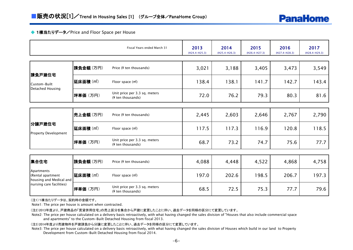### ◆ 1棟当たりデータ/Price and Floor Space per House

|                                                            |                       | Fiscal Years ended March 31                        | 2013<br>$(H24.4-H25.3)$ | 2014<br>$(H25.4-H26.3)$ | 2015<br>$(H26.4-H27.3)$ | 2016<br>$(H27.4-H28.3)$ | 2017<br>$(H28.4-H29.3)$ |
|------------------------------------------------------------|-----------------------|----------------------------------------------------|-------------------------|-------------------------|-------------------------|-------------------------|-------------------------|
|                                                            | 請負金額(万円)              | Price (¥ ten thousands)                            | 3,021                   | 3,188                   | 3,405                   | 3,473                   | 3,549                   |
| 請負戸建住宅<br>Custom-Built                                     | 延床面積(m <sup>2</sup> ) | Floor space (m <sup>2</sup> )                      | 138.4                   | 138.1                   | 141.7                   | 142.7                   | 143.4                   |
| Detached Housing                                           | 坪単価 (万円)              | Unit price per 3.3 sq. meters<br>(¥ ten thousands) | 72.0                    | 76.2                    | 79.3                    | 80.3                    | 81.6                    |
|                                                            |                       |                                                    |                         |                         |                         |                         |                         |
|                                                            | 売上金額 (万円)             | Price (¥ ten thousands)                            | 2,445                   | 2,603                   | 2,646                   | 2,767                   | 2,790                   |
| 分讓戸建住宅<br><b>Property Development</b>                      | <b> 延床面積</b> (㎡)      | Floor space (m <sup>2</sup> )                      | 117.5                   | 117.3                   | 116.9                   | 120.8                   | 118.5                   |
|                                                            | 坪単価 (万円)              | Unit price per 3.3 sq. meters<br>(¥ ten thousands) | 68.7                    | 73.2                    | 74.7                    | 75.6                    | 77.7                    |
|                                                            |                       |                                                    |                         |                         |                         |                         |                         |
| 集合住宅                                                       | 請負金額(万円)              | Price (¥ ten thousands)                            | 4,088                   | 4,448                   | 4,522                   | 4,868                   | 4,758                   |
| Apartments<br>(Rental apartment<br>housing and Medical and | 延床面積(m <sup>2</sup> ) | Floor space (m <sup>2</sup> )                      | 197.0                   | 202.6                   | 198.5                   | 206.7                   | 197.3                   |
| nursing care facilities)                                   | 坪単価 (万円)              | Unit price per 3.3 sq. meters<br>(¥ ten thousands) | 68.5                    | 72.5                    | 75.3                    | 77.7                    | 79.6                    |

(注1)1棟当たりデータは、契約時の金額です。

Note1: The price per house is amount when contracted.

(注2)2013年度より、戸建商品の「賃貸併用住宅」の売上区分を集合から戸建に変更したことに伴い、過去データを同様の区分にて変更しています。

 Note2: The price per house calculated on a delivery basis retroactively, with what having changed the sales division of "Houses that also include commercial space and apartments" to the Custom-Built Detached Housing from fiscal 2013.

(注3)2014年度より売建物件を戸建請負から分譲に変更したことに伴い、過去データを同様の区分にて変更しています。

 Note3: The price per house calculated on a delivery basis retroactively, with what having changed the sales division of Houses which build in our land to Property Development from Custom-Built Detached Housing from fiscal 2014.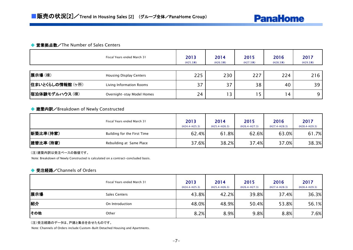#### ◆営業拠点数/The Number of Sales Centers

|                  | Fiscal Years ended March 31 | 2013<br>(H25.3) | 2014<br>(H26.3末) | 2015<br>(H27.3末) | 2016<br>(H28.3) | 2017<br>(H29.3末) |
|------------------|-----------------------------|-----------------|------------------|------------------|-----------------|------------------|
| 展示場(棟)           | Housing Display Centers     | 225             | 230              | 227              | 224             | 216              |
| 住まいとくらしの情報館 (ヶ所) | Living Information Rooms    | 37              | 37               | 38               | 40              | 39               |
| 宿泊体験モデルハウス(棟)    | Overnight-stay Model Homes  | 24              | l 3              | כ                | $\overline{a}$  | 9                |

### ◆ 建築内訳/Breakdown of Newly Constructed

|           | Fiscal Years ended March 31 | 2013<br>(H24.4-H25.3) | 2014<br>$(H25.4-H26.3)$ | 2015<br>$(H26.4-H27.3)$ | 2016<br>$(H27.4-H28.3)$ | 2017<br>$(H28.4-H29.3)$ |
|-----------|-----------------------------|-----------------------|-------------------------|-------------------------|-------------------------|-------------------------|
| 新築比率(持家)  | Building for the First Time | 62.4%                 | 61.8%                   | 62.6%                   | 63.0%                   | 61.7%                   |
| 建替比率 (持家) | Rebuilding at Same Place    | 37.6%                 | 38.2%                   | 37.4%                   | 37.0%                   | 38.3%                   |

(注)建築内訳は受注ベースの数値です。

Note: Breakdown of Newly Constructed is calculated on a contract-concluded basis.

#### ◆ 受注経路/Channels of Orders

|     | Fiscal Years ended March 31 | 2013<br>$(H24.4-H25.3)$ | 2014<br>$(H25.4-H26.3)$ | 2015<br>$(H26.4-H27.3)$ | 2016<br>$(H27.4-H28.3)$ | 2017<br>$(H28.4-H29.3)$ |
|-----|-----------------------------|-------------------------|-------------------------|-------------------------|-------------------------|-------------------------|
| 展示場 | Sales Centers               | 43.8%                   | 42.2%                   | 39.8%                   | 37.4%                   | 36.3%                   |
| 紹介  | On Introduction             | 48.0%                   | 48.9%                   | 50.4%                   | 53.8%                   | 56.1%                   |
| その他 | Other                       | 8.2%                    | 8.9%                    | 9.8%                    | 8.8%                    | 7.6%                    |

(注)受注経路のデータは、戸建と集合を合せたものです。

Note: Channels of Orders include Custom-Built Detached Housing and Apartments.